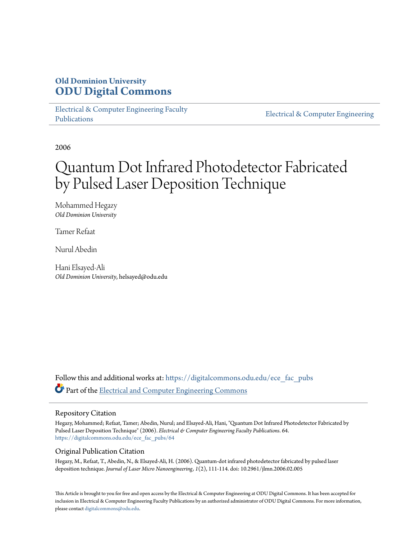# **Old Dominion University [ODU Digital Commons](https://digitalcommons.odu.edu?utm_source=digitalcommons.odu.edu%2Fece_fac_pubs%2F64&utm_medium=PDF&utm_campaign=PDFCoverPages)**

[Electrical & Computer Engineering Faculty](https://digitalcommons.odu.edu/ece_fac_pubs?utm_source=digitalcommons.odu.edu%2Fece_fac_pubs%2F64&utm_medium=PDF&utm_campaign=PDFCoverPages) [Publications](https://digitalcommons.odu.edu/ece_fac_pubs?utm_source=digitalcommons.odu.edu%2Fece_fac_pubs%2F64&utm_medium=PDF&utm_campaign=PDFCoverPages)

[Electrical & Computer Engineering](https://digitalcommons.odu.edu/ece?utm_source=digitalcommons.odu.edu%2Fece_fac_pubs%2F64&utm_medium=PDF&utm_campaign=PDFCoverPages)

2006

# Quantum Dot Infrared Photodetector Fabricated by Pulsed Laser Deposition Technique

Mohammed Hegazy *Old Dominion University*

Tamer Refaat

Nurul Abedin

Hani Elsayed-Ali *Old Dominion University*, helsayed@odu.edu

Follow this and additional works at: [https://digitalcommons.odu.edu/ece\\_fac\\_pubs](https://digitalcommons.odu.edu/ece_fac_pubs?utm_source=digitalcommons.odu.edu%2Fece_fac_pubs%2F64&utm_medium=PDF&utm_campaign=PDFCoverPages) Part of the [Electrical and Computer Engineering Commons](http://network.bepress.com/hgg/discipline/266?utm_source=digitalcommons.odu.edu%2Fece_fac_pubs%2F64&utm_medium=PDF&utm_campaign=PDFCoverPages)

## Repository Citation

Hegazy, Mohammed; Refaat, Tamer; Abedin, Nurul; and Elsayed-Ali, Hani, "Quantum Dot Infrared Photodetector Fabricated by Pulsed Laser Deposition Technique" (2006). *Electrical & Computer Engineering Faculty Publications*. 64. [https://digitalcommons.odu.edu/ece\\_fac\\_pubs/64](https://digitalcommons.odu.edu/ece_fac_pubs/64?utm_source=digitalcommons.odu.edu%2Fece_fac_pubs%2F64&utm_medium=PDF&utm_campaign=PDFCoverPages)

## Original Publication Citation

Hegazy, M., Refaat, T., Abedin, N., & Elsayed-Ali, H. (2006). Quantum-dot infrared photodetector fabricated by pulsed laser deposition technique. *Journal of Laser Micro Nanoengineering, 1*(2), 111-114. doi: 10.2961/jlmn.2006.02.005

This Article is brought to you for free and open access by the Electrical & Computer Engineering at ODU Digital Commons. It has been accepted for inclusion in Electrical & Computer Engineering Faculty Publications by an authorized administrator of ODU Digital Commons. For more information, please contact [digitalcommons@odu.edu](mailto:digitalcommons@odu.edu).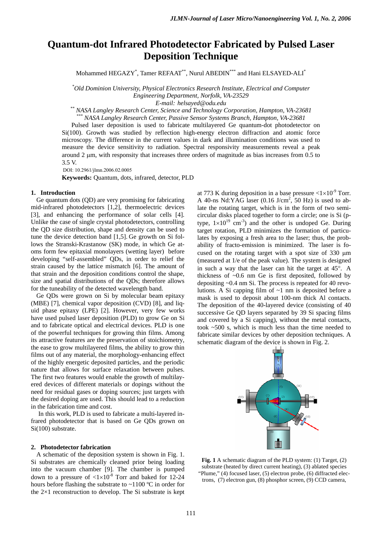# **Quantum-dot Infrared Photodetector Fabricated by Pulsed Laser Deposition Technique**

Mohammed HEGAZY\* , Tamer REFAAT\*\*, Nurul ABEDIN\*\*\* and Hani ELSAYED-ALI\*

*\* Old Dominion University, Physical Electronics Research Institute, Electrical and Computer Engineering Department, Norfolk, VA-23529* 

*E-mail: helsayed@odu.edu \*\* NASA Langley Research Center, Science and Technology Corporation, Hampton, VA-23681* 

*\*\*\* NASA Langley Research Center, Passive Sensor Systems Branch, Hampton, VA-23681* 

Pulsed laser deposition is used to fabricate multilayered Ge quantum-dot photodetector on Si(100). Growth was studied by reflection high-energy electron diffraction and atomic force microscopy. The difference in the current values in dark and illumination conditions was used to measure the device sensitivity to radiation. Spectral responsivity measurements reveal a peak around 2 μm, with responsity that increases three orders of magnitude as bias increases from 0.5 to 3.5 V.

DOI: 10.2961/jlmn.2006.02.0005

**Keywords:** Quantum, dots, infrared, detector, PLD

## **1. Introduction**

Ge quantum dots (QD) are very promising for fabricating mid-infrared photodetectors [1,2], thermoelectric devices [3], and enhancing the performance of solar cells [4]. Unlike the case of single crystal photodetectors, controlling the QD size distribution, shape and density can be used to tune the device detection band [1,5]. Ge growth on Si follows the Stranski-Krastanow (SK) mode, in which Ge atoms form few epitaxial monolayers (wetting layer) before developing "self-assembled" QDs, in order to relief the strain caused by the lattice mismatch [6]. The amount of that strain and the deposition conditions control the shape, size and spatial distributions of the QDs; therefore allows for the tuneability of the detected wavelength band.

 Ge QDs were grown on Si by molecular beam epitaxy (MBE) [7], chemical vapor deposition (CVD) [8], and liquid phase epitaxy (LPE) [2]. However, very few works have used pulsed laser deposition (PLD) to grow Ge on Si and to fabricate optical and electrical devices. PLD is one of the powerful techniques for growing thin films. Among its attractive features are the preservation of stoichiometry, the ease to grow multilayered films, the ability to grow thin films out of any material, the morphology-enhancing effect of the highly energetic deposited particles, and the periodic nature that allows for surface relaxation between pulses. The first two features would enable the growth of multilayered devices of different materials or dopings without the need for residual gases or doping sources; just targets with the desired doping are used. This should lead to a reduction in the fabrication time and cost.

In this work, PLD is used to fabricate a multi-layered infrared photodetector that is based on Ge QDs grown on Si(100) substrate.

#### **2. Photodetector fabrication**

A schematic of the deposition system is shown in Fig. 1. Si substrates are chemically cleaned prior being loading into the vacuum chamber [9]. The chamber is pumped down to a pressure of  $\langle 1 \times 10^{-8}$  Torr and baked for 12-24 hours before flashing the substrate to ~1100 ºC in order for the  $2\times1$  reconstruction to develop. The Si substrate is kept at 773 K during deposition in a base pressure  $\langle 1 \times 10^{-9}$  Torr. A 40-ns Nd:YAG laser  $(0.16 \text{ J/cm}^2, 50 \text{ Hz})$  is used to ablate the rotating target, which is in the form of two semicircular disks placed together to form a circle; one is Si (ptype,  $1 \times 10^{19}$  cm<sup>-3</sup>) and the other is undoped Ge. During target rotation, PLD minimizes the formation of particulates by exposing a fresh area to the laser; thus, the probability of fracto-emission is minimized. The laser is focused on the rotating target with a spot size of 330 μm (measured at 1/e of the peak value). The system is designed in such a way that the laser can hit the target at 45°. A thickness of ~0.6 nm Ge is first deposited, followed by depositing ~0.4 nm Si. The process is repeated for 40 revolutions. A Si capping film of ~1 nm is deposited before a mask is used to deposit about 100-nm thick Al contacts. The deposition of the 40-layered device (consisting of 40 successive Ge QD layers separated by 39 Si spacing films and covered by a Si capping), without the metal contacts, took ~500 s, which is much less than the time needed to fabricate similar devices by other deposition techniques. A schematic diagram of the device is shown in Fig. 2.



**Fig. 1** A schematic diagram of the PLD system: (1) Target, (2) substrate (heated by direct current heating), (3) ablated species "Plume," (4) focused laser, (5) electron probe, (6) diffracted electrons, (7) electron gun, (8) phosphor screen, (9) CCD camera,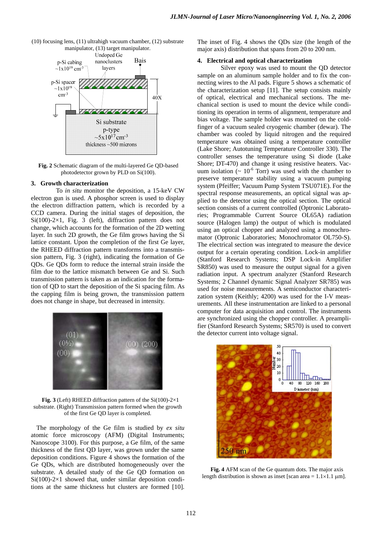



**Fig. 2** Schematic diagram of the multi-layered Ge QD-based photodetector grown by PLD on Si(100).

#### **3. Growth characterization**

To *in situ* monitor the deposition, a 15-keV CW electron gun is used. A phosphor screen is used to display the electron diffraction pattern, which is recorded by a CCD camera. During the initial stages of deposition, the Si(100)-2×1, Fig. 3 (left), diffraction pattern does not change, which accounts for the formation of the 2D wetting layer. In such 2D growth, the Ge film grows having the Si lattice constant. Upon the completion of the first Ge layer, the RHEED diffraction pattern transforms into a transmission pattern, Fig. 3 (right), indicating the formation of Ge QDs. Ge QDs form to reduce the internal strain inside the film due to the lattice mismatch between Ge and Si. Such transmission pattern is taken as an indication for the formation of QD to start the deposition of the Si spacing film. As the capping film is being grown, the transmission pattern does not change in shape, but decreased in intensity.



**Fig. 3** (Left) RHEED diffraction pattern of the  $Si(100)-2\times1$ substrate. (Right) Transmission pattern formed when the growth of the first Ge QD layer is completed.

The morphology of the Ge film is studied by *ex situ* atomic force microscopy (AFM) (Digital Instruments; Nanoscope 3100). For this purpose, a Ge film, of the same thickness of the first QD layer, was grown under the same deposition conditions. Figure 4 shows the formation of the Ge QDs, which are distributed homogeneously over the substrate. A detailed study of the Ge QD formation on  $Si(100)-2\times1$  showed that, under similar deposition conditions at the same thickness hut clusters are formed [10]. The inset of Fig. 4 shows the QDs size (the length of the major axis) distribution that spans from 20 to 200 nm.

#### **4. Electrical and optical characterization**

Silver epoxy was used to mount the QD detector sample on an aluminum sample holder and to fix the connecting wires to the Al pads. Figure 5 shows a schematic of the characterization setup [11]. The setup consists mainly of optical, electrical and mechanical sections. The mechanical section is used to mount the device while conditioning its operation in terms of alignment, temperature and bias voltage. The sample holder was mounted on the coldfinger of a vacuum sealed cryogenic chamber (dewar). The chamber was cooled by liquid nitrogen and the required temperature was obtained using a temperature controller (Lake Shore; Autotuning Temperature Controller 330). The controller senses the temperature using Si diode (Lake Shore; DT-470) and change it using resistive heaters. Vacuum isolation ( $\sim 10^{-6}$  Torr) was used with the chamber to preserve temperature stability using a vacuum pumping system (Pfeiffer; Vacuum Pump System TSU071E). For the spectral response measurements, an optical signal was applied to the detector using the optical section. The optical section consists of a current controlled (Optronic Laboratories; Programmable Current Source OL65A) radiation source (Halogen lamp) the output of which is modulated using an optical chopper and analyzed using a monochromator (Optronic Laboratories; Monochromator OL750-S). The electrical section was integrated to measure the device output for a certain operating condition. Lock-in amplifier (Stanford Research Systems; DSP Lock-in Amplifier SR850) was used to measure the output signal for a given radiation input. A spectrum analyzer (Stanford Research Systems; 2 Channel dynamic Signal Analyzer SR785) was used for noise measurements. A semiconductor characterization system (Keithly; 4200) was used for the I-V measurements. All these instrumentation are linked to a personal computer for data acquisition and control. The instruments are synchronized using the chopper controller. A preamplifier (Stanford Research Systems; SR570) is used to convert the detector current into voltage signal.



**Fig. 4** AFM scan of the Ge quantum dots. The major axis length distribution is shown as inset [scan area =  $1.1 \times 1.1$  µm].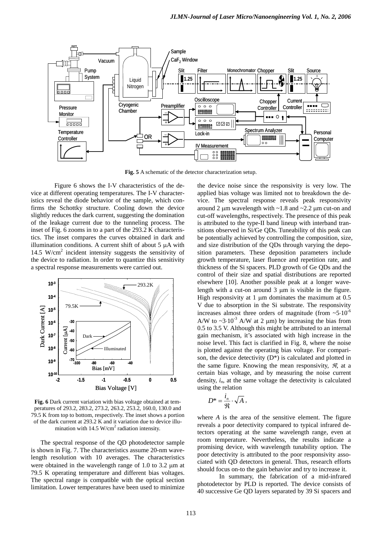

**Fig. 5** A schematic of the detector characterization setup.

Figure 6 shows the I-V characteristics of the device at different operating temperatures. The I-V characteristics reveal the diode behavior of the sample, which confirms the Schottky structure. Cooling down the device slightly reduces the dark current, suggesting the domination of the leakage current due to the tunneling process. The inset of Fig. 6 zooms in to a part of the 293.2 K characteristics. The inset compares the curves obtained in dark and illumination conditions. A current shift of about 5 μA with 14.5 W/cm2 incident intensity suggests the sensitivity of the device to radiation. In order to quantize this sensitivity a spectral response measurements were carried out.



**Fig. 6** Dark current variation with bias voltage obtained at temperatures of 293.2, 283.2, 273.2, 263.2, 253.2, 160.0, 130.0 and 79.5 K from top to bottom, respectively. The inset shows a portion of the dark current at 293.2 K and it variation due to device illumination with  $14.5 \text{ W/cm}^2$  radiation intensity.

The spectral response of the QD photodetector sample is shown in Fig. 7. The characteristics assume 20-nm wavelength resolution with 10 averages. The characteristics were obtained in the wavelength range of 1.0 to 3.2 μm at 79.5 K operating temperature and different bias voltages. The spectral range is compatible with the optical section limitation. Lower temperatures have been used to minimize the device noise since the responsivity is very low. The applied bias voltage was limited not to breakdown the device. The spectral response reveals peak responsivity around 2  $\mu$ m wavelength with ~1.8 and ~2.2  $\mu$ m cut-on and cut-off wavelengths, respectively. The presence of this peak is attributed to the type-II band lineup with interband transitions observed in Si/Ge QDs. Tuneability of this peak can be potentially achieved by controlling the composition, size, and size distribution of the QDs through varying the deposition parameters. These deposition parameters include growth temperature, laser fluence and repetition rate, and thickness of the Si spacers. PLD growth of Ge QDs and the control of their size and spatial distributions are reported elsewhere [10]. Another possible peak at a longer wavelength with a cut-on around 3 μm is visible in the figure. High responsivity at  $1 \mu$ m dominates the maximum at 0.5 V due to absorption in the Si substrate. The responsivity increases almost three orders of magnitude (from  $~5.10^{-6}$ ) A/W to  $\sim$ 3⋅10<sup>-3</sup> A/W at 2  $\mu$ m) by increasing the bias from 0.5 to 3.5 V. Although this might be attributed to an internal gain mechanism, it's associated with high increase in the noise level. This fact is clarified in Fig. 8, where the noise is plotted against the operating bias voltage. For comparison, the device detectivity  $(D^*)$  is calculated and plotted in the same figure. Knowing the mean responsivity,  $\mathcal{R}$ , at a certain bias voltage, and by measuring the noise current density,  $i_n$ , at the same voltage the detectivity is calculated using the relation

$$
D^*=\frac{i_{\scriptscriptstyle n}}{\mathfrak{R}}\cdot\sqrt{A}\;,
$$

where *A* is the area of the sensitive element. The figure reveals a poor detectivity compared to typical infrared detectors operating at the same wavelength range, even at room temperature. Nevertheless, the results indicate a promising device, with wavelength tunability option. The poor detectivity is attributed to the poor responsivity associated with QD detectors in general. Thus, research efforts should focus on-to the gain behavior and try to increase it.

In summary, the fabrication of a mid-infrared photodetector by PLD is reported. The device consists of 40 successive Ge QD layers separated by 39 Si spacers and